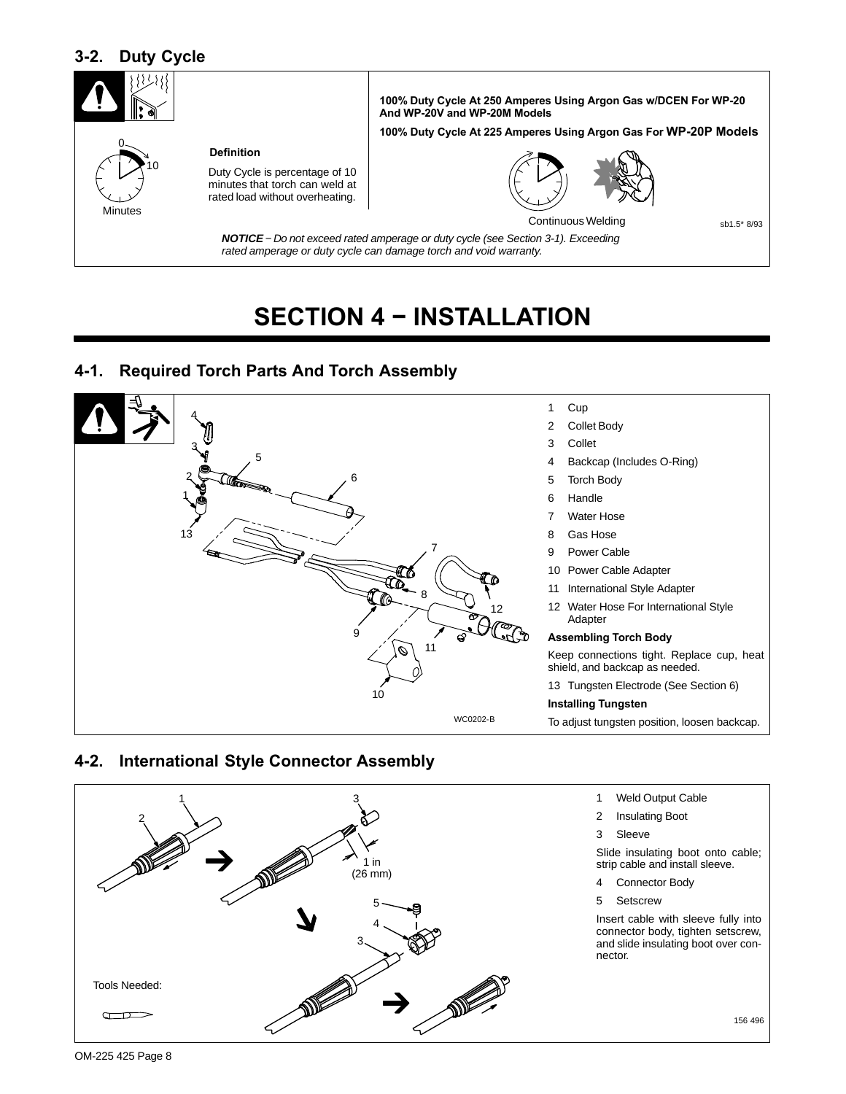## <span id="page-11-0"></span>**3-2. Duty Cycle**



# **SECTION 4 − INSTALLATION**

### **4-1. Required Torch Parts And Torch Assembly**



### **4-2. International Style Connector Assembly**

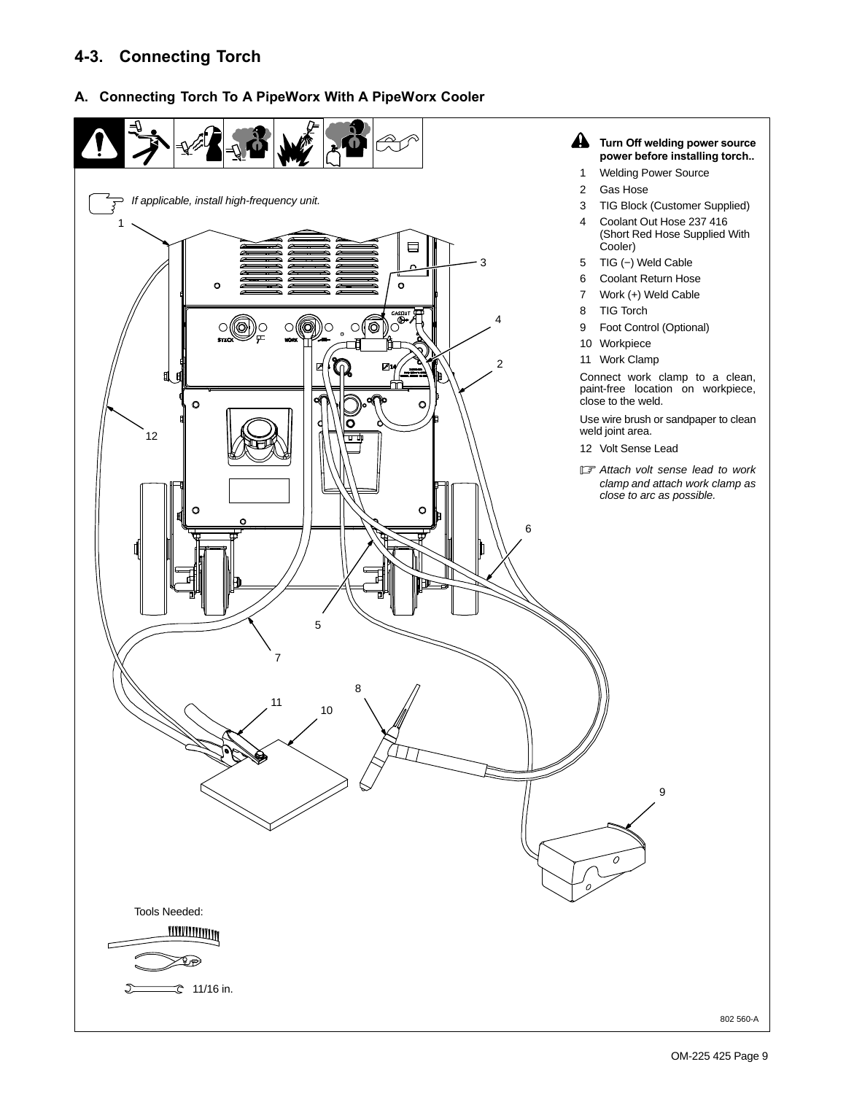## <span id="page-12-0"></span>**4-3. Connecting Torch**

#### **A. Connecting Torch To A PipeWorx With A PipeWorx Cooler**

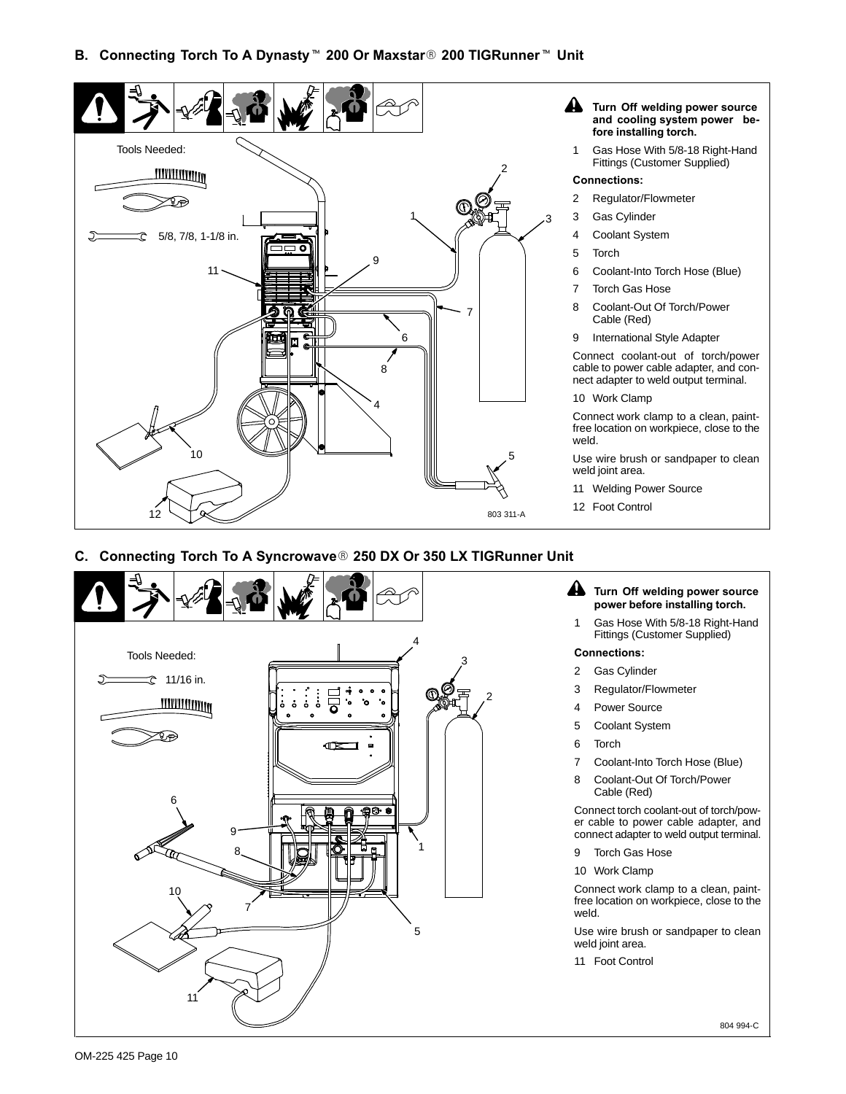

#### **C. Connecting Torch To A Syncrowave 250 DX Or 350 LX TIGRunner Unit**

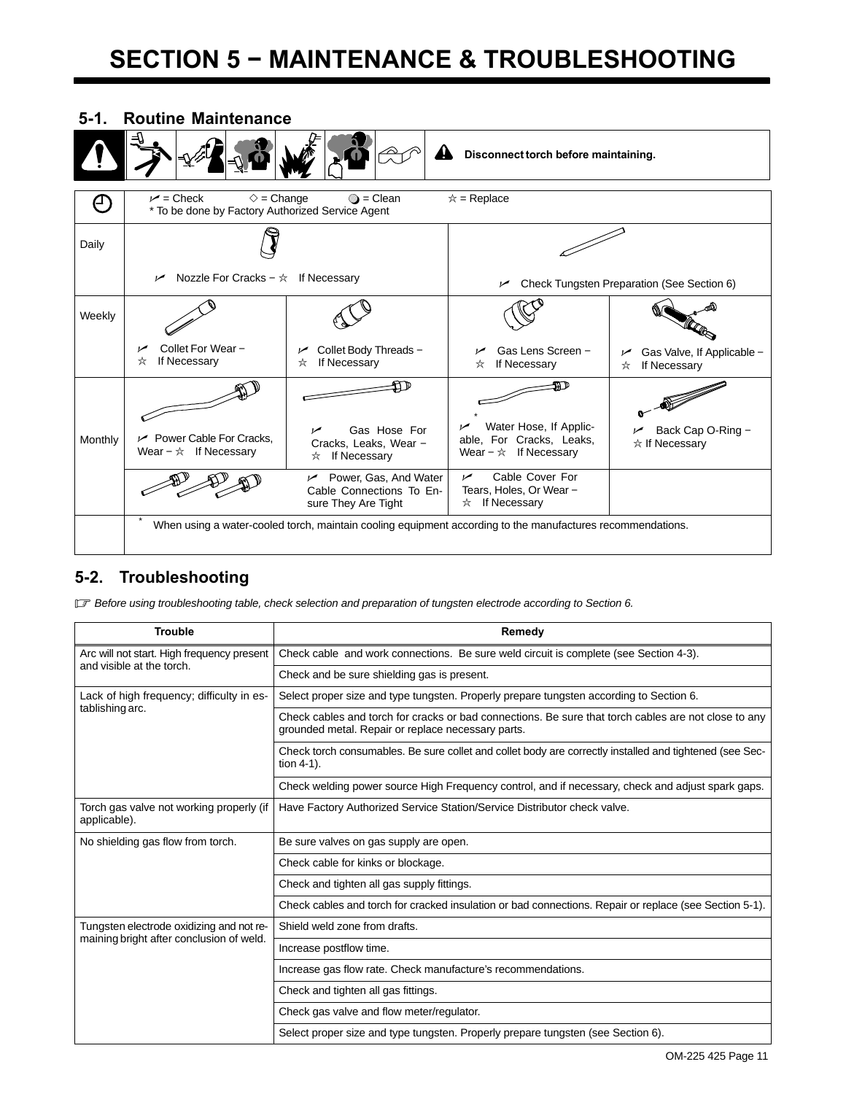# <span id="page-14-0"></span>**SECTION 5 − MAINTENANCE & TROUBLESHOOTING**



## **5-2. Troubleshooting**

- *Before using troubleshooting table, check selection and preparation of tungsten electrode according to Section [6](#page-16-0).*

| <b>Trouble</b>                                               | Remedy                                                                                                                                                     |  |  |
|--------------------------------------------------------------|------------------------------------------------------------------------------------------------------------------------------------------------------------|--|--|
| Arc will not start. High frequency present                   | Check cable and work connections. Be sure weld circuit is complete (see Section 4-3).                                                                      |  |  |
| and visible at the torch.                                    | Check and be sure shielding gas is present.                                                                                                                |  |  |
| Lack of high frequency; difficulty in es-<br>tablishing arc. | Select proper size and type tungsten. Properly prepare tungsten according to Section 6.                                                                    |  |  |
|                                                              | Check cables and torch for cracks or bad connections. Be sure that torch cables are not close to any<br>grounded metal. Repair or replace necessary parts. |  |  |
|                                                              | Check torch consumables. Be sure collet and collet body are correctly installed and tightened (see Sec-<br>tion $4-1$ ).                                   |  |  |
|                                                              | Check welding power source High Frequency control, and if necessary, check and adjust spark gaps.                                                          |  |  |
| Torch gas valve not working properly (if<br>applicable).     | Have Factory Authorized Service Station/Service Distributor check valve.                                                                                   |  |  |
| No shielding gas flow from torch.                            | Be sure valves on gas supply are open.                                                                                                                     |  |  |
|                                                              | Check cable for kinks or blockage.                                                                                                                         |  |  |
|                                                              | Check and tighten all gas supply fittings.                                                                                                                 |  |  |
|                                                              | Check cables and torch for cracked insulation or bad connections. Repair or replace (see Section 5-1).                                                     |  |  |
| Tungsten electrode oxidizing and not re-                     | Shield weld zone from drafts.                                                                                                                              |  |  |
| maining bright after conclusion of weld.                     | Increase postflow time.                                                                                                                                    |  |  |
|                                                              | Increase gas flow rate. Check manufacture's recommendations.                                                                                               |  |  |
|                                                              | Check and tighten all gas fittings.                                                                                                                        |  |  |
|                                                              | Check gas valve and flow meter/regulator.                                                                                                                  |  |  |
|                                                              | Select proper size and type tungsten. Properly prepare tungsten (see Section 6).                                                                           |  |  |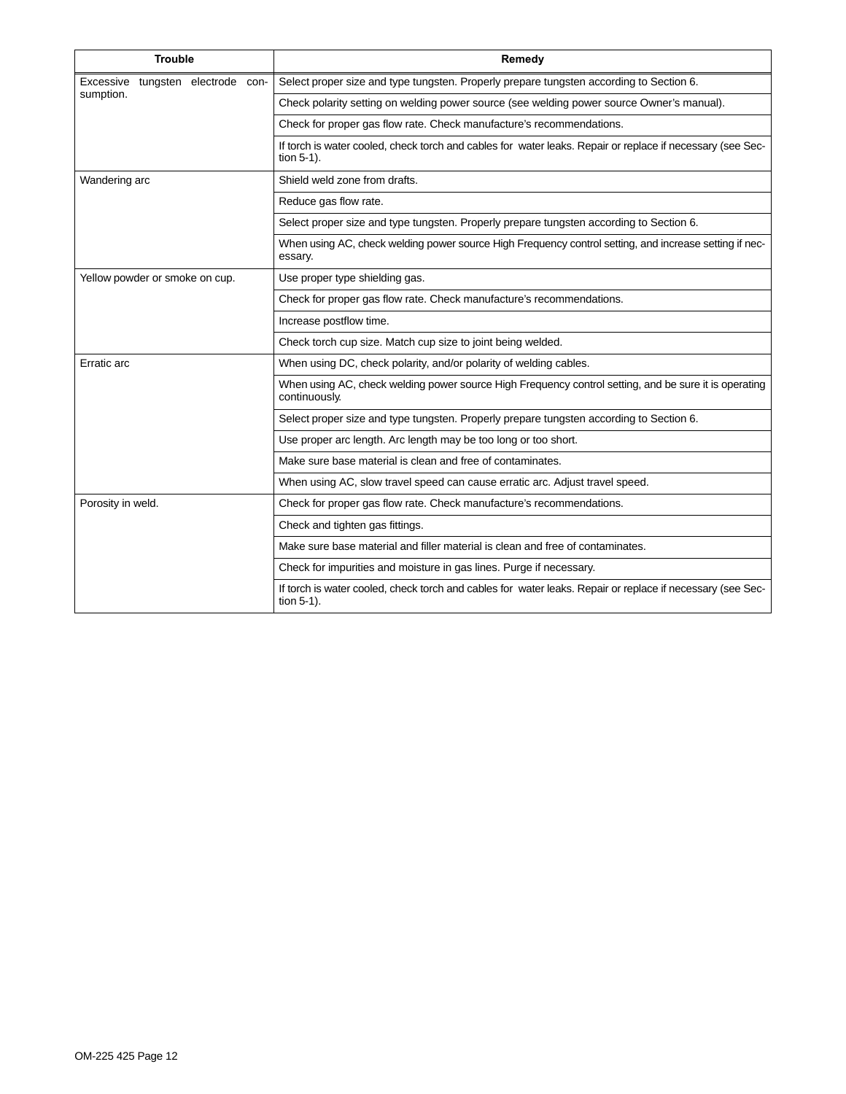| <b>Trouble</b>                       | Remedy                                                                                                                   |  |  |
|--------------------------------------|--------------------------------------------------------------------------------------------------------------------------|--|--|
| tungsten electrode con-<br>Excessive | Select proper size and type tungsten. Properly prepare tungsten according to Section 6.                                  |  |  |
| sumption.                            | Check polarity setting on welding power source (see welding power source Owner's manual).                                |  |  |
|                                      | Check for proper gas flow rate. Check manufacture's recommendations.                                                     |  |  |
|                                      | If torch is water cooled, check torch and cables for water leaks. Repair or replace if necessary (see Sec-<br>tion 5-1). |  |  |
| Wandering arc                        | Shield weld zone from drafts.                                                                                            |  |  |
|                                      | Reduce gas flow rate.                                                                                                    |  |  |
|                                      | Select proper size and type tungsten. Properly prepare tungsten according to Section 6.                                  |  |  |
|                                      | When using AC, check welding power source High Frequency control setting, and increase setting if nec-<br>essary.        |  |  |
| Yellow powder or smoke on cup.       | Use proper type shielding gas.                                                                                           |  |  |
|                                      | Check for proper gas flow rate. Check manufacture's recommendations.                                                     |  |  |
|                                      | Increase postflow time.                                                                                                  |  |  |
|                                      | Check torch cup size. Match cup size to joint being welded.                                                              |  |  |
| Erratic arc                          | When using DC, check polarity, and/or polarity of welding cables.                                                        |  |  |
|                                      | When using AC, check welding power source High Frequency control setting, and be sure it is operating<br>continuously.   |  |  |
|                                      | Select proper size and type tungsten. Properly prepare tungsten according to Section 6.                                  |  |  |
|                                      | Use proper arc length. Arc length may be too long or too short.                                                          |  |  |
|                                      | Make sure base material is clean and free of contaminates.                                                               |  |  |
|                                      | When using AC, slow travel speed can cause erratic arc. Adjust travel speed.                                             |  |  |
| Porosity in weld.                    | Check for proper gas flow rate. Check manufacture's recommendations.                                                     |  |  |
|                                      | Check and tighten gas fittings.                                                                                          |  |  |
|                                      | Make sure base material and filler material is clean and free of contaminates.                                           |  |  |
|                                      | Check for impurities and moisture in gas lines. Purge if necessary.                                                      |  |  |
|                                      | If torch is water cooled, check torch and cables for water leaks. Repair or replace if necessary (see Sec-<br>tion 5-1). |  |  |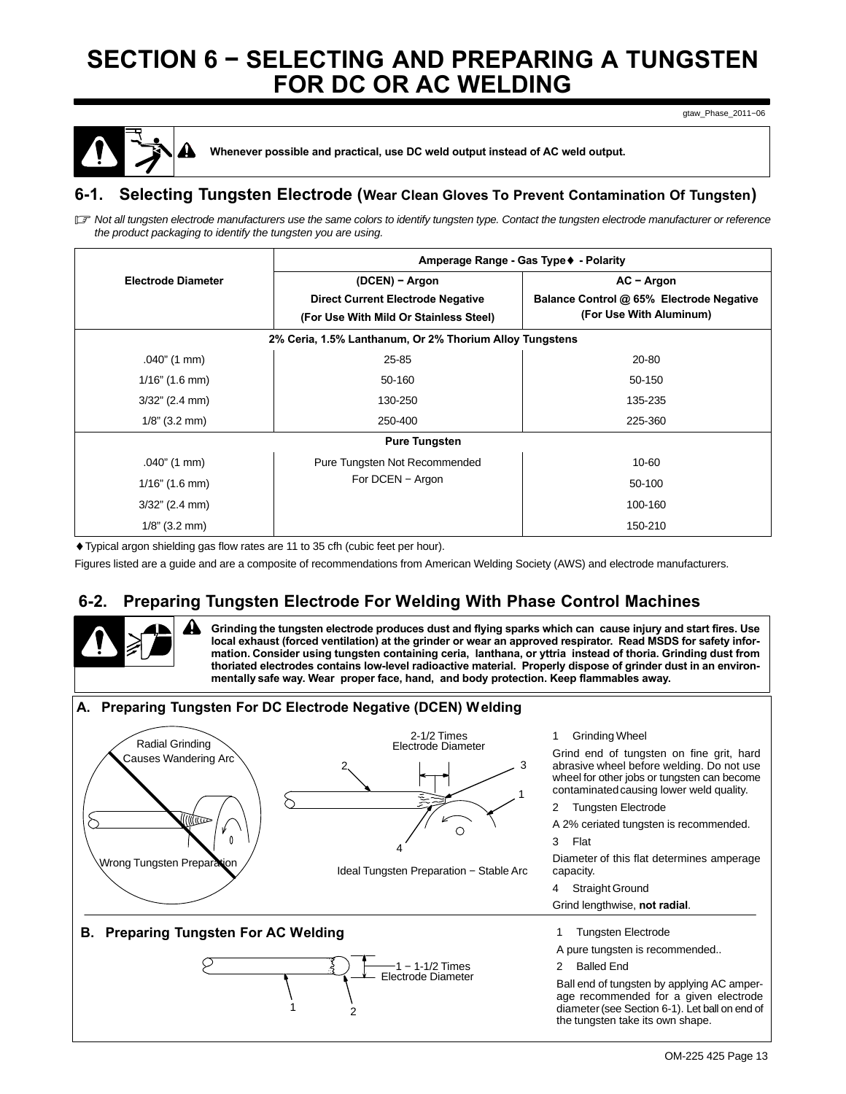# <span id="page-16-0"></span>**SECTION 6 − SELECTING AND PREPARING A TUNGSTEN FOR DC OR AC WELDING**

gtaw\_Phase\_2011−06



**! Whenever possible and practical, use DC weld output instead of AC weld output.**

### **6-1. Selecting Tungsten Electrode (Wear Clean Gloves To Prevent Contamination Of Tungsten)**

l了 Not all tungsten electrode manufacturers use the same colors to identify tungsten type. Contact the tungsten electrode manufacturer or reference *the product packaging to identify the tungsten you are using.*

|                           | Amperage Range - Gas Type ♦ - Polarity                                                               |                                                                                     |  |  |  |  |
|---------------------------|------------------------------------------------------------------------------------------------------|-------------------------------------------------------------------------------------|--|--|--|--|
| <b>Electrode Diameter</b> | (DCEN) - Argon<br><b>Direct Current Electrode Negative</b><br>(For Use With Mild Or Stainless Steel) | $AC - Argon$<br>Balance Control @ 65% Electrode Negative<br>(For Use With Aluminum) |  |  |  |  |
|                           | 2% Ceria, 1.5% Lanthanum, Or 2% Thorium Alloy Tungstens                                              |                                                                                     |  |  |  |  |
| $.040$ " (1 mm)           | 25-85                                                                                                | 20-80                                                                               |  |  |  |  |
| $1/16$ " (1.6 mm)         | 50-160                                                                                               | 50-150                                                                              |  |  |  |  |
| $3/32$ " (2.4 mm)         | 130-250                                                                                              | 135-235                                                                             |  |  |  |  |
| $1/8$ " (3.2 mm)          | 250-400                                                                                              | 225-360                                                                             |  |  |  |  |
| <b>Pure Tungsten</b>      |                                                                                                      |                                                                                     |  |  |  |  |
| $.040$ " (1 mm)           | Pure Tungsten Not Recommended                                                                        | 10-60                                                                               |  |  |  |  |
| $1/16$ " (1.6 mm)         | For DCEN - Argon                                                                                     | 50-100                                                                              |  |  |  |  |
| $3/32$ " (2.4 mm)         |                                                                                                      | 100-160                                                                             |  |  |  |  |
| $1/8$ " (3.2 mm)          |                                                                                                      | 150-210                                                                             |  |  |  |  |

♦Typical argon shielding gas flow rates are 11 to 35 cfh (cubic feet per hour).

Figures listed are a guide and are a composite of recommendations from American Welding Society (AWS) and electrode manufacturers.

## **6-2. Preparing Tungsten Electrode For Welding With Phase Control Machines**

**! Grinding the tungsten electrode produces dust and flying sparks which can cause injury and start fires. Use local exhaust (forced ventilation) at the grinder or wear an approved respirator. Read MSDS for safety information. Consider using tungsten containing ceria, lanthana, or yttria instead of thoria. Grinding dust from thoriated electrodes contains low-level radioactive material. Properly dispose of grinder dust in an environmentally safe way. Wear proper face, hand, and body protection. Keep flammables away.**

### **A. Preparing Tungsten For DC Electrode Negative (DCEN) Welding**





Ideal Tungsten Preparation − Stable Arc

**B. Preparing Tungsten For AC Welding**



Grind end of tungsten on fine grit, hard abrasive wheel before welding. Do not use wheel for other jobs or tungsten can become contaminated causing lower weld quality.

2 Tungsten Electrode

A 2% ceriated tungsten is recommended.

3 Flat

Diameter of this flat determines amperage capacity.

- 4 Straight Ground
- Grind lengthwise, **not radial**.
- 1 Tungsten Electrode

A pure tungsten is recommended..

2 Balled End

Ball end of tungsten by applying AC amperage recommended for a given electrode diameter (see Section 6-1). Let ball on end of the tungsten take its own shape.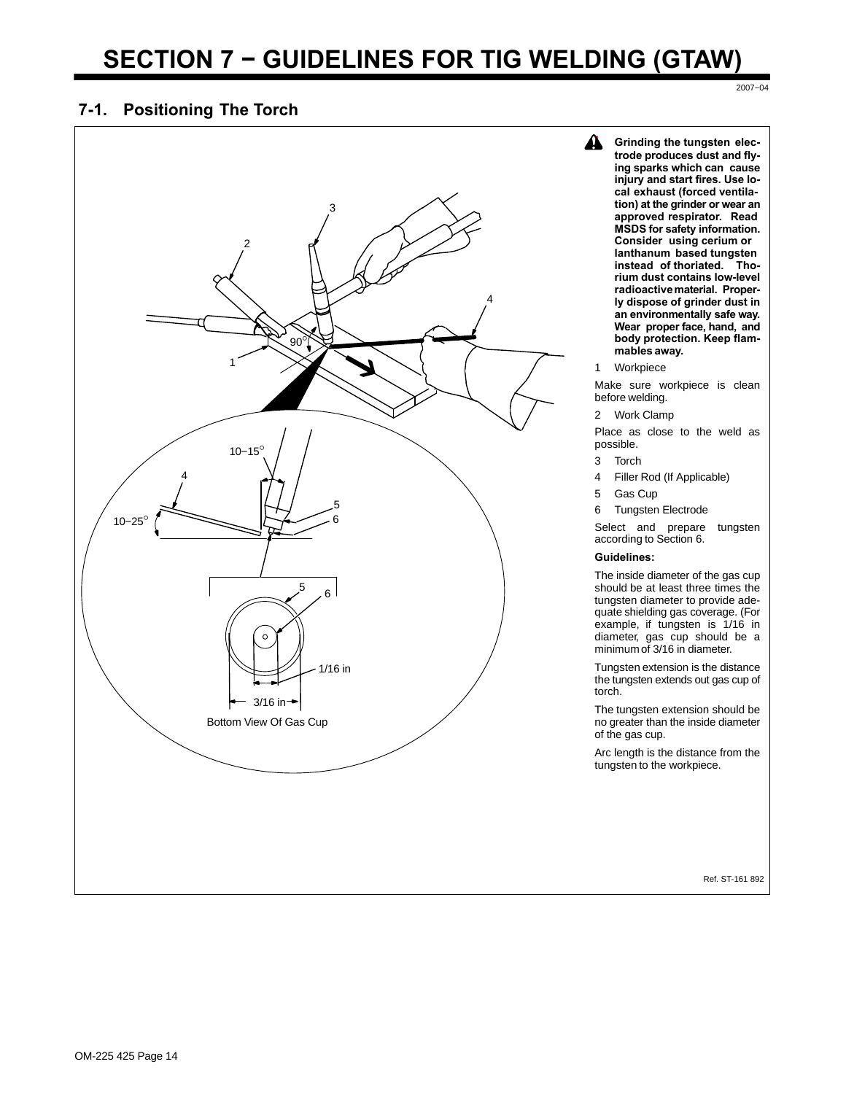# **SECTION 7 − GUIDELINES FOR TIG WELDING (GTAW)**

#### **7-1. Positioning The Torch**

3 2 4 90° 1 10−15° 4 5 10−25° 6  $5 \quad 6$  $\circ$ 1/16 in  $3/16$  in  $\rightarrow$ Bottom View Of Gas Cup

**4** Grinding the tungsten elec**trode produces dust and flying sparks which can cause injury and start fires. Use local exhaust (forced ventilation) at the grinder or wear an approved respirator. Read MSDS for safety information. Consider using cerium or lanthanum based tungsten instead of thoriated. Thorium dust contains low-level radioactive material. Properly dispose of grinder dust in an environmentally safe way. Wear proper face, hand, and body protection. Keep flammables away.**

2007−04

1 Workpiece

Make sure workpiece is clean before welding.

2 Work Clamp

Place as close to the weld as possible.

- 3 Torch
- 4 Filler Rod (If Applicable)
- 5 Gas Cup
- 6 Tungsten Electrode

Select and prepare tungsten according to Section [6](#page-16-0).

#### **Guidelines:**

The inside diameter of the gas cup should be at least three times the tungsten diameter to provide adequate shielding gas coverage. (For example, if tungsten is 1/16 in diameter, gas cup should be a minimum of 3/16 in diameter.

Tungsten extension is the distance the tungsten extends out gas cup of torch.

The tungsten extension should be no greater than the inside diameter of the gas cup.

Arc length is the distance from the tungsten to the workpiece.

Ref. ST-161 892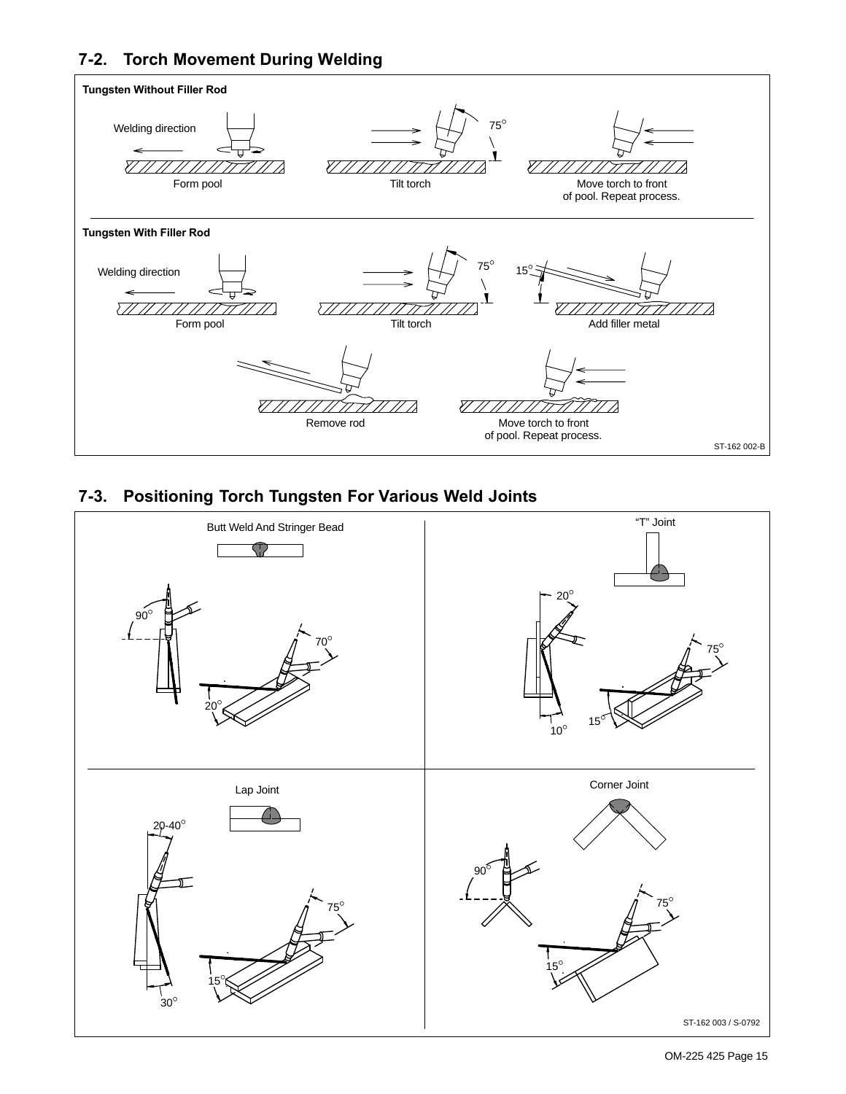## **7-2. Torch Movement During Welding**



## **7-3. Positioning Torch Tungsten For Various Weld Joints**



OM-225 425 Page 15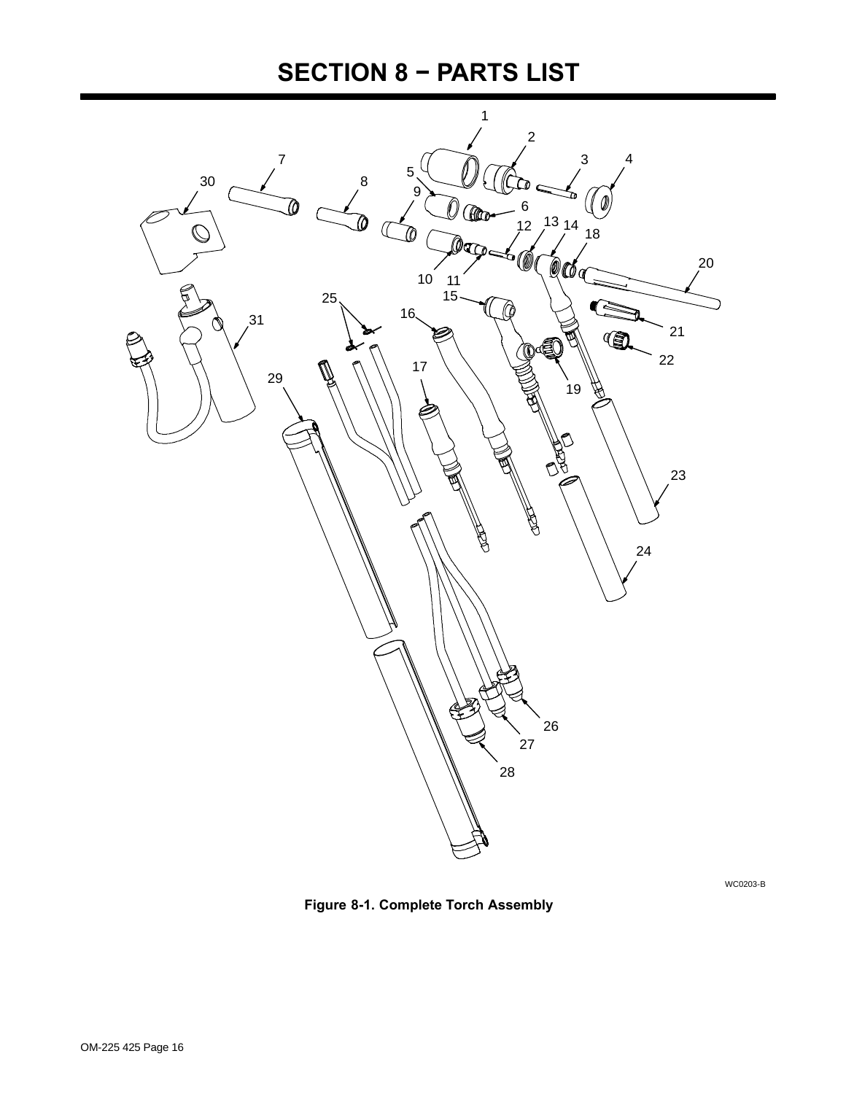# **SECTION 8 − PARTS LIST**

<span id="page-19-0"></span>

WC0203-B

**Figure 8-1. Complete Torch Assembly**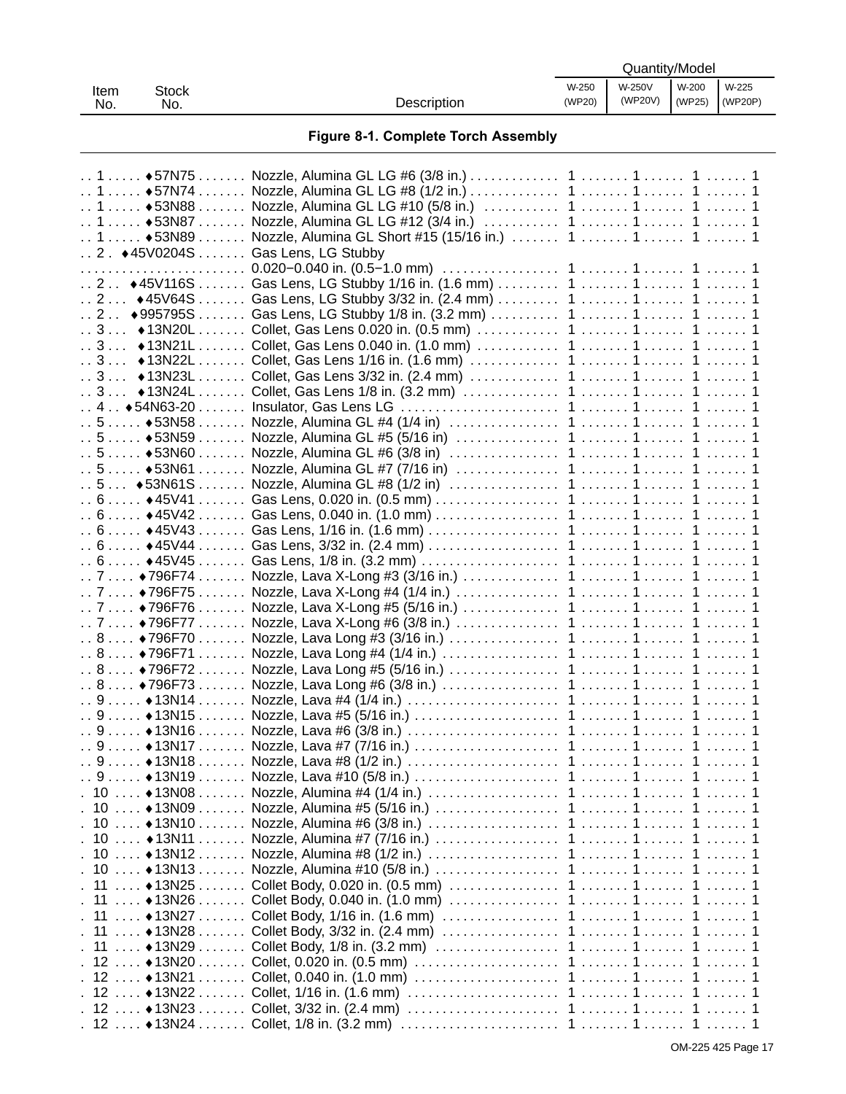| <b>Item</b><br>No. | <b>Stock</b><br>No.                                            | Description                                                                                        | W-250<br>(WP20) | W-250V<br>(WP20V) | W-200<br>(WP25) | W-225<br>(WP20P) |
|--------------------|----------------------------------------------------------------|----------------------------------------------------------------------------------------------------|-----------------|-------------------|-----------------|------------------|
|                    |                                                                | Figure 8-1. Complete Torch Assembly                                                                |                 |                   |                 |                  |
|                    | $\ldots$ 1 $\ldots$ . $\bullet$ 57N75 $\ldots$                 |                                                                                                    |                 |                   |                 |                  |
|                    | $\ldots$ 1 $\ldots$ +57N74 $\ldots$                            |                                                                                                    |                 |                   |                 |                  |
|                    | $1.1$ $\leftrightarrow$ 53N88<br>$1.1$ $\leftrightarrow$ 53N87 |                                                                                                    |                 |                   |                 |                  |
|                    | $1.1$ $\bullet$ 53N89                                          | Nozzle, Alumina GL Short #15 (15/16 in.)  1  1  1  1                                               |                 |                   |                 |                  |
|                    |                                                                | 2. ◆45V0204S  Gas Lens, LG Stubby                                                                  |                 |                   |                 |                  |
|                    |                                                                |                                                                                                    |                 |                   |                 |                  |
|                    |                                                                | 2 ♦ 45V116S  Gas Lens, LG Stubby 1/16 in. (1.6 mm)  1  1  1  1                                     |                 |                   |                 |                  |
|                    |                                                                | 2 ♦45V64S  Gas Lens, LG Stubby 3/32 in. (2.4 mm)  1  1  1  1                                       |                 |                   |                 |                  |
|                    | .2.4995795S                                                    |                                                                                                    |                 |                   |                 |                  |
|                    | . . 3. 13N20L                                                  |                                                                                                    |                 |                   |                 |                  |
|                    | $3$ +13N21L                                                    |                                                                                                    |                 |                   |                 |                  |
|                    | $.3$ $\bullet$ 13N22L                                          |                                                                                                    |                 |                   |                 |                  |
|                    | $.3$ +13N23L                                                   |                                                                                                    |                 |                   |                 |                  |
|                    | $.3$ $\bullet$ 13N24L                                          |                                                                                                    |                 |                   |                 |                  |
|                    | $\ldots$ 5 $\ldots$ $\ldots$ $\bullet$ 53N58 $\ldots$          |                                                                                                    |                 |                   |                 |                  |
|                    | .5.5.1.453N59                                                  |                                                                                                    |                 |                   |                 |                  |
|                    | $.5.000$ $\triangle$ 53N60                                     |                                                                                                    |                 |                   |                 |                  |
|                    | $\ldots 5 \ldots \cdot * 53N61 \ldots$                         |                                                                                                    |                 |                   |                 |                  |
|                    | $.5$ $\bullet$ 53N61S                                          |                                                                                                    |                 |                   |                 |                  |
|                    | $6 6 \cdot 45V41$                                              |                                                                                                    |                 |                   |                 |                  |
|                    |                                                                | . . 6 ♦ 45V42 Gas Lens, 0.040 in. (1.0 mm) 1 1 1                                                   |                 |                   |                 |                  |
|                    | 6 6 45V43                                                      |                                                                                                    |                 |                   |                 |                  |
|                    | $6 6 \cdot 45V44$                                              |                                                                                                    |                 |                   |                 |                  |
|                    |                                                                |                                                                                                    |                 |                   |                 |                  |
|                    |                                                                | … 7 …… ♦796F74 ……… Nozzle, Lava X-Long #3 (3/16 in.) ……………… 1 ……… 1……… 1 ……… 1                     |                 |                   |                 |                  |
|                    | $7.7*796F75$                                                   |                                                                                                    |                 |                   |                 |                  |
|                    | .7.7.1.4796F76<br>$7.7$ $*796F77$                              |                                                                                                    |                 |                   |                 |                  |
|                    |                                                                |                                                                                                    |                 |                   |                 |                  |
|                    |                                                                |                                                                                                    |                 |                   |                 |                  |
|                    |                                                                | … 8 …… ♦796F72 ……… Nozzle, Lava Long #5 (5/16 in.) …………………… 1 ……… 1 ……… 1 ……… 1                    |                 |                   |                 |                  |
|                    |                                                                | . . 8 ♦796F73 Nozzle, Lava Long #6 (3/8 in.) 1 1 1                                                 |                 |                   |                 |                  |
|                    |                                                                |                                                                                                    |                 |                   |                 |                  |
|                    |                                                                | $\ldots$ 9 $\ldots$ . ♦ 13N15 $\ldots$ Nozzle, Lava #5 (5/16 in.) $\ldots$ 1 $\ldots$ 1 $\ldots$ 1 |                 |                   |                 |                  |
|                    | $.9*13N16$                                                     |                                                                                                    |                 |                   |                 |                  |
|                    | .9.11.4413N17.1.1.1.                                           |                                                                                                    |                 |                   |                 |                  |
|                    | $.9$ $*13N18$                                                  |                                                                                                    |                 |                   |                 |                  |
|                    | $\ldots$ 9 $\ldots$ . $\bullet$ 13N19 $\ldots$                 |                                                                                                    |                 |                   |                 |                  |
|                    | . 10  ♦13N08<br>$. 10$ $.013N09$                               |                                                                                                    |                 |                   |                 |                  |
|                    | $. 10$ $.013N10$                                               |                                                                                                    |                 |                   |                 |                  |
|                    | $.10$ $.13N11$                                                 |                                                                                                    |                 |                   |                 |                  |
|                    | $. 10 * 13N12$                                                 |                                                                                                    |                 |                   |                 |                  |
|                    | $10$ $\bullet$ 13N13                                           |                                                                                                    |                 |                   |                 |                  |
|                    | . 11  ♦ 13N25                                                  |                                                                                                    |                 |                   |                 |                  |
|                    | . 11  ♦ 13N26                                                  |                                                                                                    |                 |                   |                 |                  |
|                    | . 11  ♦ 13N27                                                  |                                                                                                    |                 |                   |                 |                  |
|                    | . 11  ♦ 13N28                                                  |                                                                                                    |                 |                   |                 |                  |
|                    | . 11 ♦ 13N29                                                   |                                                                                                    |                 |                   |                 |                  |
|                    | . 12  ♦ 13N20                                                  |                                                                                                    |                 |                   |                 |                  |
|                    | $. 12  * 13N21 $                                               |                                                                                                    |                 |                   |                 |                  |
|                    |                                                                | . 12 …. ♦13N22…… Collet, 1/16 in. (1.6 mm) ………………………… 1 ……… 1 ……. 1 ……. 1                          |                 |                   |                 |                  |
|                    |                                                                | .12 ....♦13N23 .......Collet, 3/32 in. (2.4 mm) .....................1 .......1 ......1 1          |                 |                   |                 |                  |
|                    |                                                                | . 12 …. ♦13N24 ……. Collet, 1/8 in. (3.2 mm) ………………………… 1 ……… 1 ……. 1 ……. 1                         |                 |                   |                 |                  |

Quantity/Model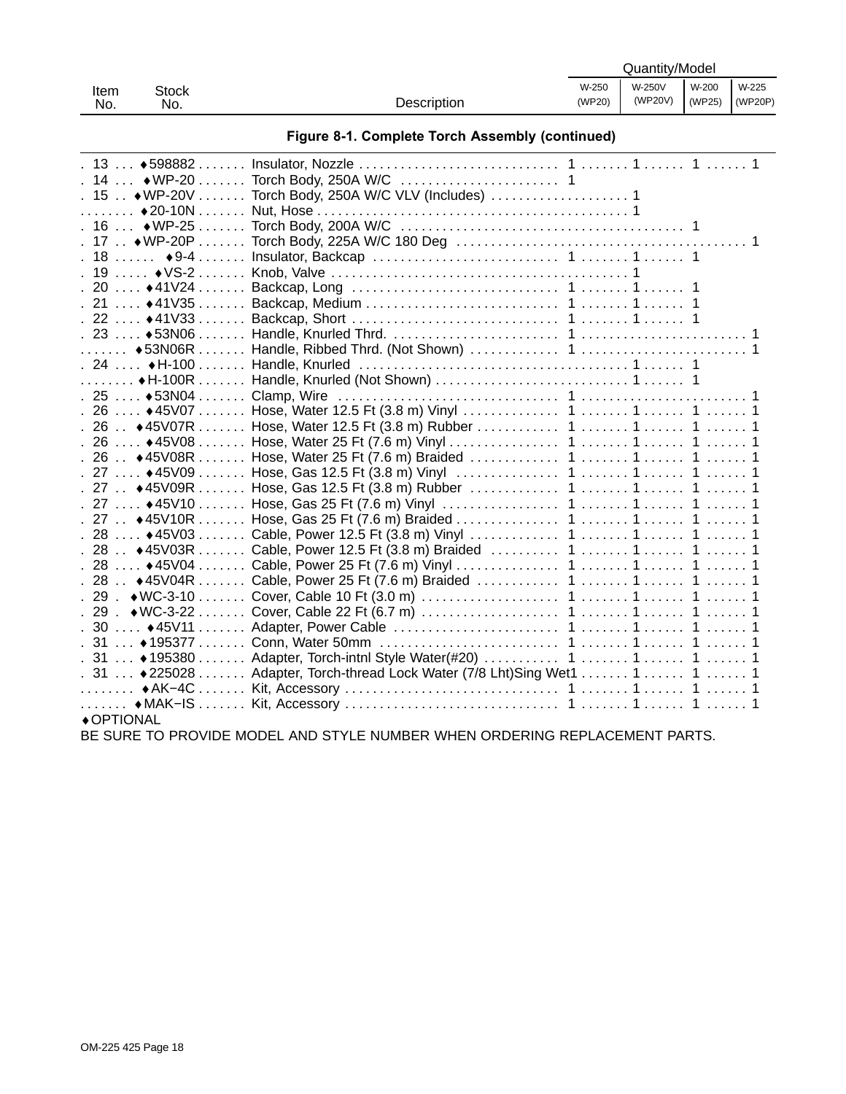| Stock<br>Item |     |             |        | Quantity/Model |                                  |  |
|---------------|-----|-------------|--------|----------------|----------------------------------|--|
|               |     | W-250       | W-250V | W-200          | W-225                            |  |
| No.           | No. | Description | (WP20) | (WP20V)        | $\sqrt{(WP25)}$ $\sqrt{(WP20P)}$ |  |

| $.13*598882$                                     |                                                              |
|--------------------------------------------------|--------------------------------------------------------------|
| $.14$ WP-20                                      |                                                              |
| $. 15$ ◆ WP-20V                                  |                                                              |
| $\ldots \ldots$ $\bullet$ 20-10N $\ldots \ldots$ |                                                              |
| $.16*WP-25$                                      |                                                              |
| $.17$ ◆ WP-20P                                   |                                                              |
| $.18$ $\bullet$ 9-4                              |                                                              |
| $.19$ $\sqrt{S-2}$                               |                                                              |
| $.20$ ↓41V24                                     |                                                              |
| $.21*41\sqrt{35}$                                |                                                              |
| $.22$ ♦ 41 V 33                                  |                                                              |
| $.23*53N06$                                      |                                                              |
| $\ldots \ldots$ $\bullet$ 53N06R $\ldots \ldots$ |                                                              |
| $.24$ , ◆H-100 ,                                 |                                                              |
| $\ldots \ldots$ + H-100R $\ldots \ldots$         |                                                              |
| $.25$ ♦ 53N04                                    |                                                              |
| $.26*45V07$                                      |                                                              |
| $.26*45V07R$                                     |                                                              |
| $.26*45V08$                                      |                                                              |
| $.26$ . $\leftrightarrow$ 45V08R                 |                                                              |
| $.27*45V09$                                      |                                                              |
| $.27$ ♦ 45V09R                                   |                                                              |
| $.27$ ♦ 45V10                                    |                                                              |
| $.27$ ♦ 45V10R                                   |                                                              |
| $. 28 * 45V03$                                   |                                                              |
| $.28$ . ◆45V03R                                  |                                                              |
| $.28*45V04$                                      |                                                              |
| $.28$ ♦45V04R                                    |                                                              |
| $.29.4$ WC-3-10                                  |                                                              |
| $.29.$ $\leftrightarrow$ WC-3-22                 |                                                              |
| $.30$ $.45V11$                                   |                                                              |
| $.31*195377$                                     |                                                              |
| $.31*195380$                                     |                                                              |
| $.31*225028$                                     | Adapter, Torch-thread Lock Water (7/8 Lht)Sing Wet1  1  1  1 |
| .     ◆ AK-4C                                    |                                                              |
| .   ◆MAK-IS                                      |                                                              |
| ◆ OPTIONAL                                       |                                                              |

BE SURE TO PROVIDE MODEL AND STYLE NUMBER WHEN ORDERING REPLACEMENT PARTS.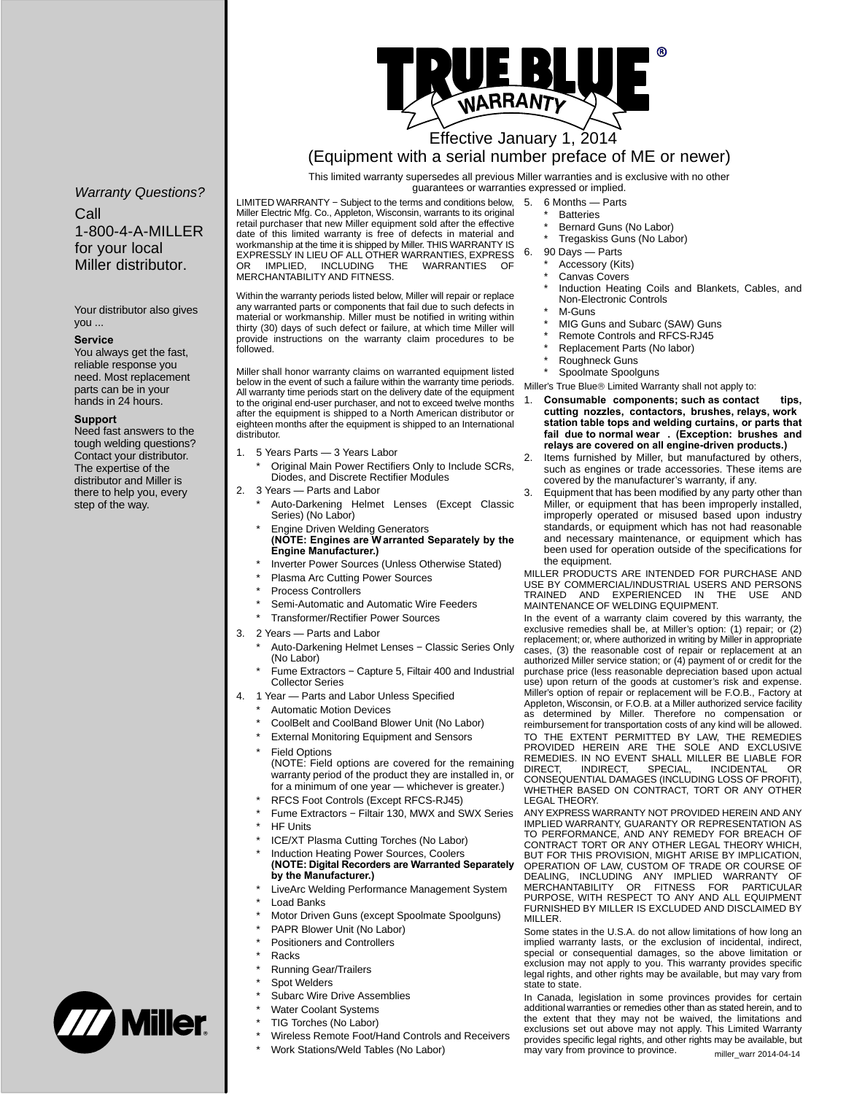

## Effective January 1, 2014

### (Equipment with a serial number preface of ME or newer)

This limited warranty supersedes all previous Miller warranties and is exclusive with no other

*Warranty Questions?*

Call 1-800-4-A-MILLER for your local Miller distributor.

Your distributor also gives you ...

#### **Service**

You always get the fast, reliable response you need. Most replacement parts can be in your hands in 24 hours.

#### **Support**

Need fast answers to the tough welding questions? Contact your distributor. The expertise of the distributor and Miller is there to help you, every step of the way.

guarantees or warranties expressed or implied. LIMITED WARRANTY − Subject to the terms and conditions below, 5. 6 Months — Parts Miller Electric Mfg. Co., Appleton, Wisconsin, warrants to its original retail purchaser that new Miller equipment sold after the effective date of this limited warranty is free of defects in material and workmanship at the time it is shipped by Miller. THIS WARRANTY IS EXPRESSLY IN LIEU OF ALL OTHER WARRANTIES, EXPRESS INCLUDING THE MERCHANTABILITY AND FITNESS.

Within the warranty periods listed below, Miller will repair or replace any warranted parts or components that fail due to such defects in material or workmanship. Miller must be notified in writing within thirty (30) days of such defect or failure, at which time Miller will provide instructions on the warranty claim procedures to be followed.

Miller shall honor warranty claims on warranted equipment listed below in the event of such a failure within the warranty time periods. All warranty time periods start on the delivery date of the equipment to the original end-user purchaser, and not to exceed twelve months after the equipment is shipped to a North American distributor or eighteen months after the equipment is shipped to an International distributor.

- 1. 5 Years Parts 3 Years Labor
	- Original Main Power Rectifiers Only to Include SCRs, Diodes, and Discrete Rectifier Modules
- 2. 3 Years Parts and Labor
	- Auto-Darkening Helmet Lenses (Except Classic Series) (No Labor) \* Engine Driven Welding Generators
	- **(NOTE: Engines are Warranted Separately by the Engine Manufacturer.)**
	- Inverter Power Sources (Unless Otherwise Stated)
	- Plasma Arc Cutting Power Sources
	- Process Controllers
	- Semi-Automatic and Automatic Wire Feeders
	- **Transformer/Rectifier Power Sources**
- 3. 2 Years Parts and Labor
	- Auto-Darkening Helmet Lenses Classic Series Only (No Labor)
	- Fume Extractors Capture 5, Filtair 400 and Industrial Collector Series
- 4. 1 Year Parts and Labor Unless Specified
	- Automatic Motion Devices
	- CoolBelt and CoolBand Blower Unit (No Labor)
	- **External Monitoring Equipment and Sensors**
	- **Field Options** (NOTE: Field options are covered for the remaining warranty period of the product they are installed in, or
	- for a minimum of one year whichever is greater.)
	- \* RFCS Foot Controls (Except RFCS-RJ45) Fume Extractors – Filtair 130, MWX and SWX Series
	- **HF Units**
	- ICE/XT Plasma Cutting Torches (No Labor)
	- Induction Heating Power Sources, Coolers **(NOTE: Digital Recorders are Warranted Separately by the Manufacturer.)**
	- LiveArc Welding Performance Management System
	- **Load Banks**
	- Motor Driven Guns (except Spoolmate Spoolguns)
	- PAPR Blower Unit (No Labor)
	- Positioners and Controllers
		- **Racks**
	- Running Gear/Trailers
	- Spot Welders
	- Subarc Wire Drive Assemblies
	- Water Coolant Systems
	- TIG Torches (No Labor)
	- Wireless Remote Foot/Hand Controls and Receivers
	- Work Stations/Weld Tables (No Labor)
- - **Batteries**
	- Bernard Guns (No Labor)
	- Tregaskiss Guns (No Labor)
- 6. 90 Days Parts
	- Accessory (Kits)
	- Canvas Covers
	- Induction Heating Coils and Blankets, Cables, and Non-Electronic Controls
	- M-Guns
	- MIG Guns and Subarc (SAW) Guns
	- Remote Controls and RFCS-RJ45
	- Replacement Parts (No labor) Roughneck Guns
	- Spoolmate Spoolguns
- Miller's True Blue® Limited Warranty shall not apply to:
	- Consumable components; such as contact tips, **cutting nozzles, contactors, brushes, relays, work station table tops and welding curtains, or parts that fail due to normal wear . (Exception: brushes and relays are covered on all engine-driven products.)**
- Items furnished by Miller, but manufactured by others, such as engines or trade accessories. These items are covered by the manufacturer's warranty, if any.
- 3. Equipment that has been modified by any party other than Miller, or equipment that has been improperly installed, improperly operated or misused based upon industry standards, or equipment which has not had reasonable and necessary maintenance, or equipment which has been used for operation outside of the specifications for the equipment.

MILLER PRODUCTS ARE INTENDED FOR PURCHASE AND WILLETT THE ROBER CIAL/INDUSTRIAL USERS AND PERSONS TRAINED AND EXPERIENCED IN THE USE AND MAINTENANCE OF WELDING EQUIPMENT.

In the event of a warranty claim covered by this warranty, the exclusive remedies shall be, at Miller's option: (1) repair; or (2) replacement; or, where authorized in writing by Miller in appropriate cases, (3) the reasonable cost of repair or replacement at an authorized Miller service station; or (4) payment of or credit for the purchase price (less reasonable depreciation based upon actual use) upon return of the goods at customer's risk and expense. Miller's option of repair or replacement will be F.O.B., Factory at Appleton, Wisconsin, or F.O.B. at a Miller authorized service facility as determined by Miller. Therefore no compensation or reimbursement for transportation costs of any kind will be allowed. TO THE EXTENT PERMITTED BY LAW, THE REMEDIES PROVIDED HEREIN ARE THE SOLE AND EXCLUSIVE REMEDIES. IN NO EVENT SHALL MILLER BE LIABLE FOR<br>DIRECT, INDIRECT, SPECIAL, INCIDENTAL OR DIRECT, INDIRECT, SPECIAL, INCIDENTAL OR CONSEQUENTIAL DAMAGES (INCLUDING LOSS OF PROFIT), WHETHER BASED ON CONTRACT, TORT OR ANY OTHER LEGAL THEORY.

ANY EXPRESS WARRANTY NOT PROVIDED HEREIN AND ANY IMPLIED WARRANTY, GUARANTY OR REPRESENTATION AS TO PERFORMANCE, AND ANY REMEDY FOR BREACH OF CONTRACT TORT OR ANY OTHER LEGAL THEORY WHICH, BUT FOR THIS PROVISION, MIGHT ARISE BY IMPLICATION, OPERATION OF LAW, CUSTOM OF TRADE OR COURSE OF DEALING, INCLUDING ANY IMPLIED WARRANTY OF MERCHANTABILITY OR FITNESS FOR PARTICULAR PURPOSE, WITH RESPECT TO ANY AND ALL EQUIPMENT FURNISHED BY MILLER IS EXCLUDED AND DISCLAIMED BY MILLER.

Some states in the U.S.A. do not allow limitations of how long an implied warranty lasts, or the exclusion of incidental, indirect, special or consequential damages, so the above limitation or exclusion may not apply to you. This warranty provides specific legal rights, and other rights may be available, but may vary from state to state.

In Canada, legislation in some provinces provides for certain additional warranties or remedies other than as stated herein, and to the extent that they may not be waived, the limitations and exclusions set out above may not apply. This Limited Warranty provides specific legal rights, and other rights may be available, but may vary from province to province. miller\_warr 2014-04-14